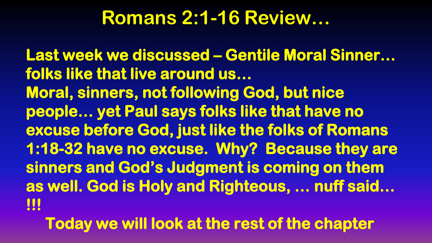## **Romans 2:1-16 Review…**

**Last week we discussed – Gentile Moral Sinner… folks like that live around us… Moral, sinners, not following God, but nice people… yet Paul says folks like that have no excuse before God, just like the folks of Romans 1:18-32 have no excuse. Why? Because they are sinners and God's Judgment is coming on them as well. God is Holy and Righteous, … nuff said… !!!** 

 **Today we will look at the rest of the chapter**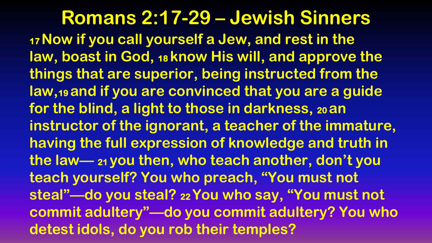## **Romans 2:17-29 – Jewish Sinners**

**<sup>17</sup>Now if you call yourself a Jew, and rest in the law, boast in God, <sup>18</sup>know His will, and approve the things that are superior, being instructed from the law,19 and if you are convinced that you are a guide for the blind, a light to those in darkness, <sup>20</sup>an instructor of the ignorant, a teacher of the immature, having the full expression of knowledge and truth in the law— <sup>21</sup>you then, who teach another, don't you teach yourself? You who preach, "You must not steal"—do you steal? <sup>22</sup>You who say, "You must not commit adultery"—do you commit adultery? You who detest idols, do you rob their temples?**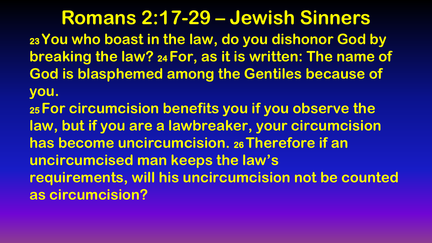**Romans 2:17-29 – Jewish Sinners <sup>23</sup>You who boast in the law, do you dishonor God by breaking the law? <sup>24</sup>For, as it is written: The name of God is blasphemed among the Gentiles because of you.**

**<sup>25</sup>For circumcision benefits you if you observe the law, but if you are a lawbreaker, your circumcision has become uncircumcision. <sup>26</sup>Therefore if an uncircumcised man keeps the law's requirements, will his uncircumcision not be counted as circumcision?**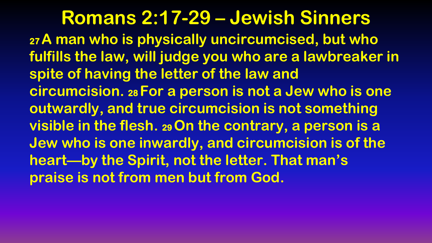**Romans 2:17-29 – Jewish Sinners <sup>27</sup>A man who is physically uncircumcised, but who fulfills the law, will judge you who are a lawbreaker in spite of having the letter of the law and circumcision. <sup>28</sup>For a person is not a Jew who is one outwardly, and true circumcision is not something visible in the flesh. <sup>29</sup>On the contrary, a person is a Jew who is one inwardly, and circumcision is of the heart—by the Spirit, not the letter. That man's praise is not from men but from God.**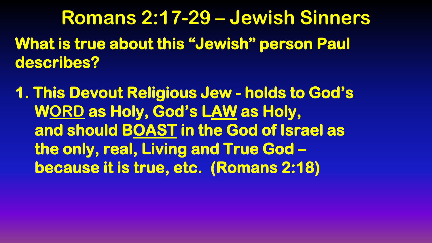**Romans 2:17-29 – Jewish Sinners What is true about this "Jewish" person Paul describes?** 

**1. This Devout Religious Jew - holds to God's WORD as Holy, God's LAW as Holy, and should BOAST in the God of Israel as the only, real, Living and True God – because it is true, etc. (Romans 2:18)**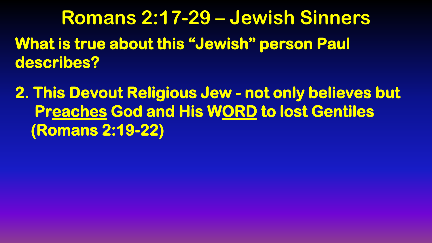**Romans 2:17-29 – Jewish Sinners What is true about this "Jewish" person Paul describes?** 

**2. This Devout Religious Jew - not only believes but Preaches God and His WORD to lost Gentiles (Romans 2:19-22)**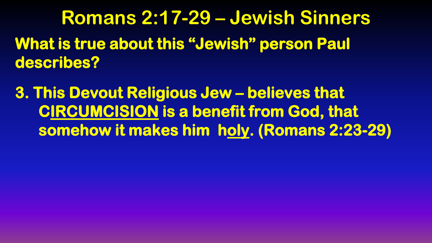**Romans 2:17-29 – Jewish Sinners What is true about this "Jewish" person Paul describes?** 

**3. This Devout Religious Jew – believes that CIRCUMCISION is a benefit from God, that somehow it makes him holy. (Romans 2:23-29)**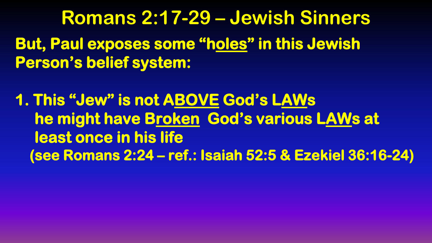**Romans 2:17-29 – Jewish Sinners But, Paul exposes some "holes" in this Jewish Person's belief system:** 

**1. This "Jew" is not ABOVE God's LAWs he might have Broken God's various LAWs at least once in his life (see Romans 2:24 – ref.: Isaiah 52:5 & Ezekiel 36:16-24)**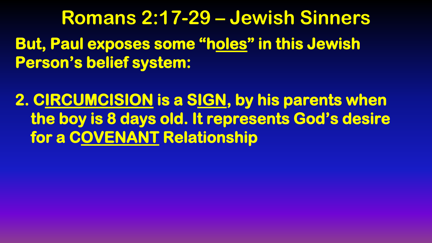**Romans 2:17-29 – Jewish Sinners But, Paul exposes some "holes" in this Jewish Person's belief system:** 

**2. CIRCUMCISION is a SIGN, by his parents when the boy is 8 days old. It represents God's desire for a COVENANT Relationship**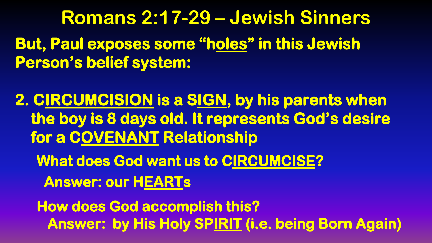**Romans 2:17-29 – Jewish Sinners But, Paul exposes some "holes" in this Jewish Person's belief system:** 

**2. CIRCUMCISION is a SIGN, by his parents when the boy is 8 days old. It represents God's desire for a COVENANT Relationship** 

 **What does God want us to CIRCUMCISE? Answer: our HEARTs** 

 **How does God accomplish this? Answer: by His Holy SPIRIT (i.e. being Born Again)**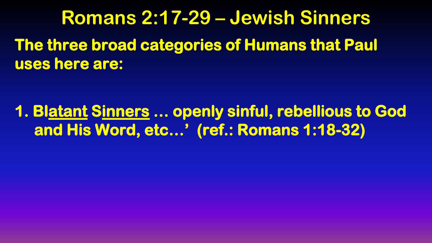**Romans 2:17-29 – Jewish Sinners The three broad categories of Humans that Paul uses here are:** 

**1. Blatant Sinners … openly sinful, rebellious to God and His Word, etc…' (ref.: Romans 1:18-32)**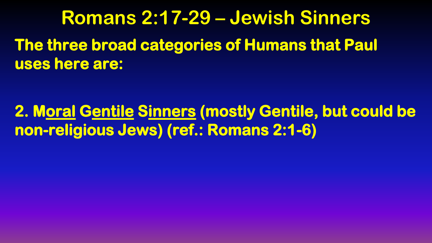**Romans 2:17-29 – Jewish Sinners The three broad categories of Humans that Paul uses here are:** 

**2. Moral Gentile Sinners (mostly Gentile, but could be non-religious Jews) (ref.: Romans 2:1-6)**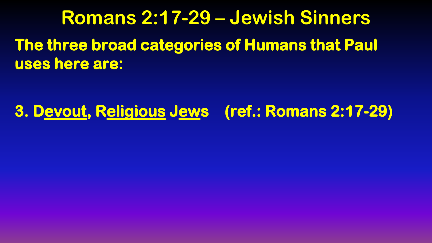## **Romans 2:17-29 – Jewish Sinners The three broad categories of Humans that Paul uses here are:**

## **3. Devout, Religious Jews (ref.: Romans 2:17-29)**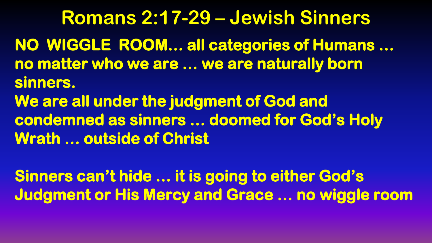**Romans 2:17-29 – Jewish Sinners NO WIGGLE ROOM… all categories of Humans … no matter who we are … we are naturally born sinners. We are all under the judgment of God and condemned as sinners … doomed for God's Holy Wrath … outside of Christ** 

**Sinners can't hide … it is going to either God's Judgment or His Mercy and Grace … no wiggle room**